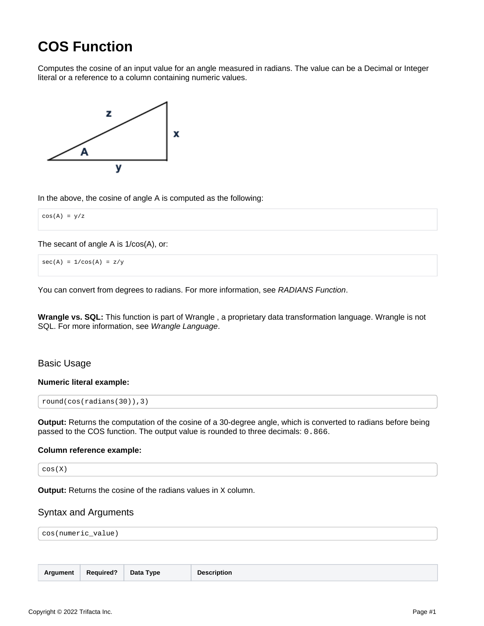# <span id="page-0-0"></span>**COS Function**

Computes the cosine of an input value for an angle measured in radians. The value can be a Decimal or Integer literal or a reference to a column containing numeric values.



In the above, the cosine of angle A is computed as the following:

 $cos(A) = y/z$ 

The secant of angle A is 1/cos(A), or:

 $sec(A) = 1/cos(A) = z/y$ 

You can convert from degrees to radians. For more information, see [RADIANS Function](https://docs.trifacta.com/display/r087/RADIANS+Function).

**Wrangle vs. SQL:** This function is part of Wrangle , a proprietary data transformation language. Wrangle is not SQL. For more information, see [Wrangle Language](https://docs.trifacta.com/display/r087/Wrangle+Language).

# Basic Usage

#### **Numeric literal example:**

```
round(cos(radians(30)),3)
```
**Output:** Returns the computation of the cosine of a 30-degree angle, which is converted to radians before being passed to the COS function. The output value is rounded to three decimals: 0.866.

#### **Column reference example:**

cos(X)

**Output:** Returns the cosine of the radians values in x column.

# Syntax and Arguments

cos(numeric\_value)

| Argument | <b>Required?</b> | Data Type | <b>Description</b> |
|----------|------------------|-----------|--------------------|
|----------|------------------|-----------|--------------------|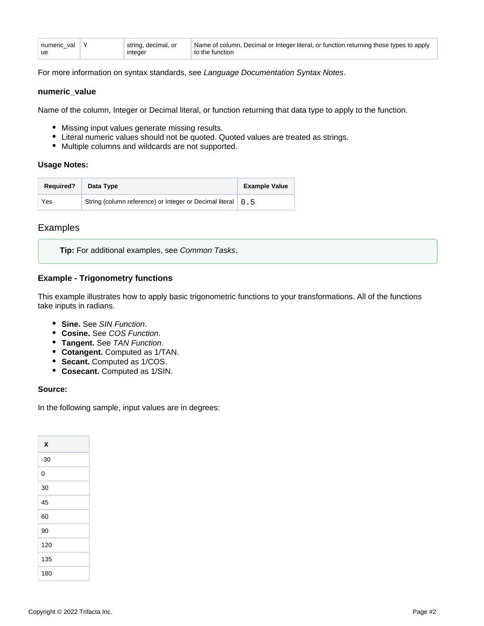| numeric val   Y | string, decimal, or | Name of column, Decimal or Integer literal, or function returning those types to apply |
|-----------------|---------------------|----------------------------------------------------------------------------------------|
| ∣ ue            | integer             | to the function                                                                        |

For more information on syntax standards, see [Language Documentation Syntax Notes](https://docs.trifacta.com/display/r087/Language+Documentation+Syntax+Notes).

#### **numeric\_value**

Name of the column, Integer or Decimal literal, or function returning that data type to apply to the function.

- Missing input values generate missing results.
- Literal numeric values should not be quoted. Quoted values are treated as strings.
- Multiple columns and wildcards are not supported.

#### **Usage Notes:**

| <b>Required?</b> | Data Type                                                     | <b>Example Value</b> |
|------------------|---------------------------------------------------------------|----------------------|
| Yes              | String (column reference) or Integer or Decimal literal   0.5 |                      |

# Examples

**Tip:** For additional examples, see [Common Tasks](https://docs.trifacta.com/display/r087/Common+Tasks).

# **Example - Trigonometry functions**

This example illustrates how to apply basic trigonometric functions to your transformations. All of the functions take inputs in radians.

- **Sine.** See [SIN Function](https://docs.trifacta.com/display/r087/SIN+Function).
- **Cosine.** See [COS Function](#page-0-0).
- **Tangent.** See [TAN Function](https://docs.trifacta.com/display/r087/TAN+Function).
- **Cotangent.** Computed as 1/TAN.
- **Secant.** Computed as 1/COS.
- **Cosecant.** Computed as 1/SIN.

#### **Source:**

In the following sample, input values are in degrees:

| X     |
|-------|
| $-30$ |
| 0     |
| 30    |
| 45    |
| 60    |
| 90    |
| 120   |
| 135   |
| 180   |
|       |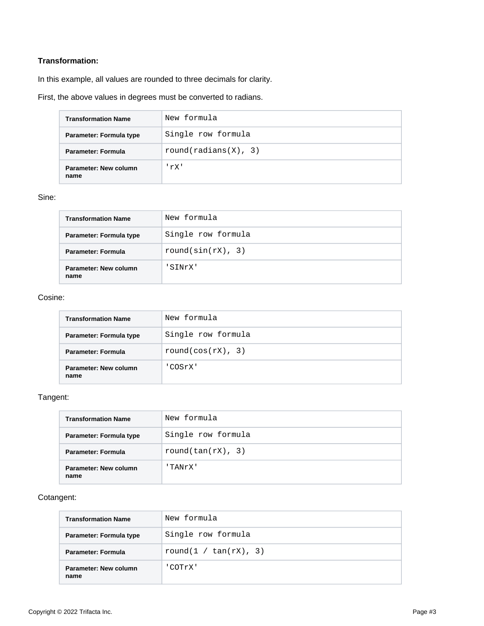# **Transformation:**

In this example, all values are rounded to three decimals for clarity.

First, the above values in degrees must be converted to radians.

| <b>Transformation Name</b>    | New formula          |
|-------------------------------|----------------------|
| Parameter: Formula type       | Single row formula   |
| Parameter: Formula            | round(radians(X), 3) |
| Parameter: New column<br>name | 'rX'                 |

#### Sine:

| <b>Transformation Name</b>           | New formula           |
|--------------------------------------|-----------------------|
| Parameter: Formula type              | Single row formula    |
| Parameter: Formula                   | round( $sin(rX)$ , 3) |
| <b>Parameter: New column</b><br>name | SINrX'                |

# Cosine:

| <b>Transformation Name</b>    | New formula        |
|-------------------------------|--------------------|
| Parameter: Formula type       | Single row formula |
| <b>Parameter: Formula</b>     | round(cos(rX), 3)  |
| Parameter: New column<br>name | 'COSrX'            |

# Tangent:

| <b>Transformation Name</b>    | New formula        |
|-------------------------------|--------------------|
| Parameter: Formula type       | Single row formula |
| Parameter: Formula            | round(tan(rX), 3)  |
| Parameter: New column<br>name | 'TANrX'            |

# Cotangent:

| <b>Transformation Name</b>    | New formula           |
|-------------------------------|-----------------------|
| Parameter: Formula type       | Single row formula    |
| <b>Parameter: Formula</b>     | round(1 / tan(rX), 3) |
| Parameter: New column<br>name | 'COTrX'               |